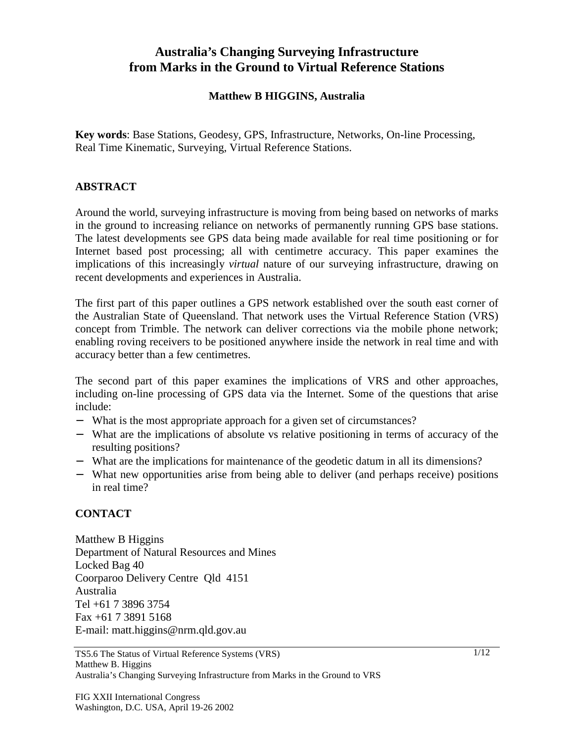# **Australia's Changing Surveying Infrastructure from Marks in the Ground to Virtual Reference Stations**

#### **Matthew B HIGGINS, Australia**

**Key words**: Base Stations, Geodesy, GPS, Infrastructure, Networks, On-line Processing, Real Time Kinematic, Surveying, Virtual Reference Stations.

### **ABSTRACT**

Around the world, surveying infrastructure is moving from being based on networks of marks in the ground to increasing reliance on networks of permanently running GPS base stations. The latest developments see GPS data being made available for real time positioning or for Internet based post processing; all with centimetre accuracy. This paper examines the implications of this increasingly *virtual* nature of our surveying infrastructure, drawing on recent developments and experiences in Australia.

The first part of this paper outlines a GPS network established over the south east corner of the Australian State of Queensland. That network uses the Virtual Reference Station (VRS) concept from Trimble. The network can deliver corrections via the mobile phone network; enabling roving receivers to be positioned anywhere inside the network in real time and with accuracy better than a few centimetres.

The second part of this paper examines the implications of VRS and other approaches, including on-line processing of GPS data via the Internet. Some of the questions that arise include:

- − What is the most appropriate approach for a given set of circumstances?
- − What are the implications of absolute vs relative positioning in terms of accuracy of the resulting positions?
- − What are the implications for maintenance of the geodetic datum in all its dimensions?
- − What new opportunities arise from being able to deliver (and perhaps receive) positions in real time?

### **CONTACT**

Matthew B Higgins Department of Natural Resources and Mines Locked Bag 40 Coorparoo Delivery Centre Qld 4151 Australia Tel +61 7 3896 3754 Fax +61 7 3891 5168 E-mail: matt.higgins@nrm.qld.gov.au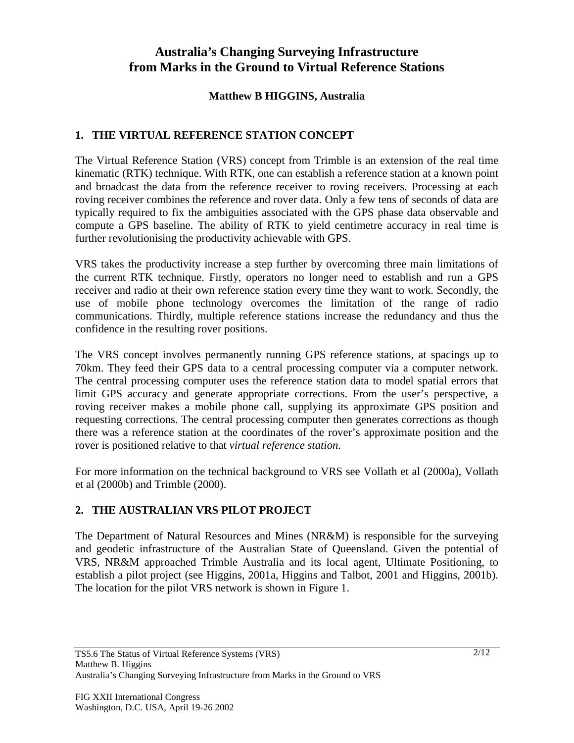# **Australia's Changing Surveying Infrastructure from Marks in the Ground to Virtual Reference Stations**

### **Matthew B HIGGINS, Australia**

## **1. THE VIRTUAL REFERENCE STATION CONCEPT**

The Virtual Reference Station (VRS) concept from Trimble is an extension of the real time kinematic (RTK) technique. With RTK, one can establish a reference station at a known point and broadcast the data from the reference receiver to roving receivers. Processing at each roving receiver combines the reference and rover data. Only a few tens of seconds of data are typically required to fix the ambiguities associated with the GPS phase data observable and compute a GPS baseline. The ability of RTK to yield centimetre accuracy in real time is further revolutionising the productivity achievable with GPS.

VRS takes the productivity increase a step further by overcoming three main limitations of the current RTK technique. Firstly, operators no longer need to establish and run a GPS receiver and radio at their own reference station every time they want to work. Secondly, the use of mobile phone technology overcomes the limitation of the range of radio communications. Thirdly, multiple reference stations increase the redundancy and thus the confidence in the resulting rover positions.

The VRS concept involves permanently running GPS reference stations, at spacings up to 70km. They feed their GPS data to a central processing computer via a computer network. The central processing computer uses the reference station data to model spatial errors that limit GPS accuracy and generate appropriate corrections. From the user's perspective, a roving receiver makes a mobile phone call, supplying its approximate GPS position and requesting corrections. The central processing computer then generates corrections as though there was a reference station at the coordinates of the rover's approximate position and the rover is positioned relative to that *virtual reference station*.

For more information on the technical background to VRS see Vollath et al (2000a), Vollath et al (2000b) and Trimble (2000).

## **2. THE AUSTRALIAN VRS PILOT PROJECT**

The Department of Natural Resources and Mines (NR&M) is responsible for the surveying and geodetic infrastructure of the Australian State of Queensland. Given the potential of VRS, NR&M approached Trimble Australia and its local agent, Ultimate Positioning, to establish a pilot project (see Higgins, 2001a, Higgins and Talbot, 2001 and Higgins, 2001b). The location for the pilot VRS network is shown in Figure 1.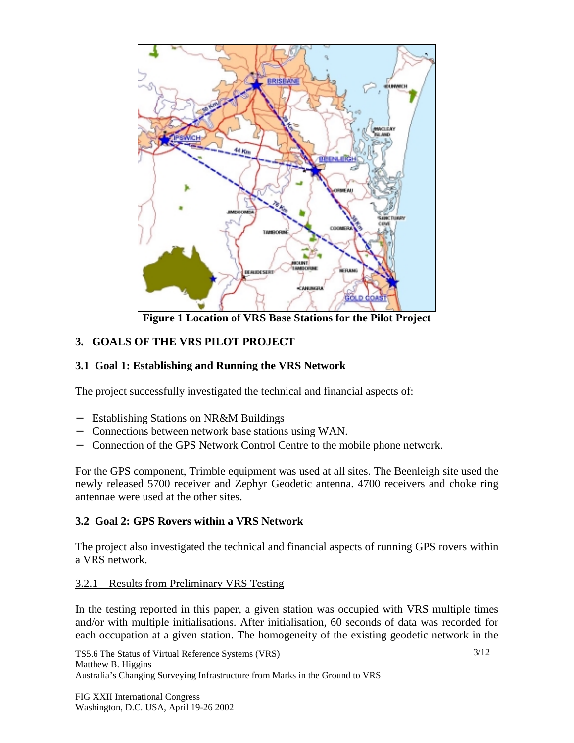

**Figure 1 Location of VRS Base Stations for the Pilot Project**

## **3. GOALS OF THE VRS PILOT PROJECT**

### **3.1 Goal 1: Establishing and Running the VRS Network**

The project successfully investigated the technical and financial aspects of:

- − Establishing Stations on NR&M Buildings
- − Connections between network base stations using WAN.
- − Connection of the GPS Network Control Centre to the mobile phone network.

For the GPS component, Trimble equipment was used at all sites. The Beenleigh site used the newly released 5700 receiver and Zephyr Geodetic antenna. 4700 receivers and choke ring antennae were used at the other sites.

## **3.2 Goal 2: GPS Rovers within a VRS Network**

The project also investigated the technical and financial aspects of running GPS rovers within a VRS network.

### 3.2.1 Results from Preliminary VRS Testing

In the testing reported in this paper, a given station was occupied with VRS multiple times and/or with multiple initialisations. After initialisation, 60 seconds of data was recorded for each occupation at a given station. The homogeneity of the existing geodetic network in the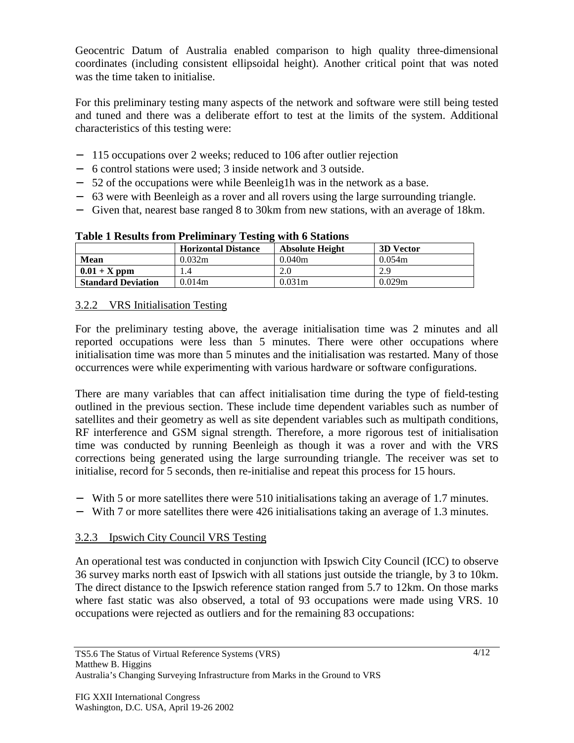Geocentric Datum of Australia enabled comparison to high quality three-dimensional coordinates (including consistent ellipsoidal height). Another critical point that was noted was the time taken to initialise.

For this preliminary testing many aspects of the network and software were still being tested and tuned and there was a deliberate effort to test at the limits of the system. Additional characteristics of this testing were:

- − 115 occupations over 2 weeks; reduced to 106 after outlier rejection
- − 6 control stations were used; 3 inside network and 3 outside.
- − 52 of the occupations were while Beenleig1h was in the network as a base.
- − 63 were with Beenleigh as a rover and all rovers using the large surrounding triangle.
- − Given that, nearest base ranged 8 to 30km from new stations, with an average of 18km.

|                           | <b>Horizontal Distance</b> | <b>Absolute Height</b> | <b>3D Vector</b> |
|---------------------------|----------------------------|------------------------|------------------|
| <b>Mean</b>               | 0.032m                     | 0.040m                 | 0.054m           |
| $0.01 + X$ ppm            |                            |                        | 2.9              |
| <b>Standard Deviation</b> | 0.014m                     | 0.031 <sub>m</sub>     | 0.029m           |

### **Table 1 Results from Preliminary Testing with 6 Stations**

## 3.2.2 VRS Initialisation Testing

For the preliminary testing above, the average initialisation time was 2 minutes and all reported occupations were less than 5 minutes. There were other occupations where initialisation time was more than 5 minutes and the initialisation was restarted. Many of those occurrences were while experimenting with various hardware or software configurations.

There are many variables that can affect initialisation time during the type of field-testing outlined in the previous section. These include time dependent variables such as number of satellites and their geometry as well as site dependent variables such as multipath conditions, RF interference and GSM signal strength. Therefore, a more rigorous test of initialisation time was conducted by running Beenleigh as though it was a rover and with the VRS corrections being generated using the large surrounding triangle. The receiver was set to initialise, record for 5 seconds, then re-initialise and repeat this process for 15 hours.

- − With 5 or more satellites there were 510 initialisations taking an average of 1.7 minutes.
- − With 7 or more satellites there were 426 initialisations taking an average of 1.3 minutes.

# 3.2.3 Ipswich City Council VRS Testing

An operational test was conducted in conjunction with Ipswich City Council (ICC) to observe 36 survey marks north east of Ipswich with all stations just outside the triangle, by 3 to 10km. The direct distance to the Ipswich reference station ranged from 5.7 to 12km. On those marks where fast static was also observed, a total of 93 occupations were made using VRS. 10 occupations were rejected as outliers and for the remaining 83 occupations: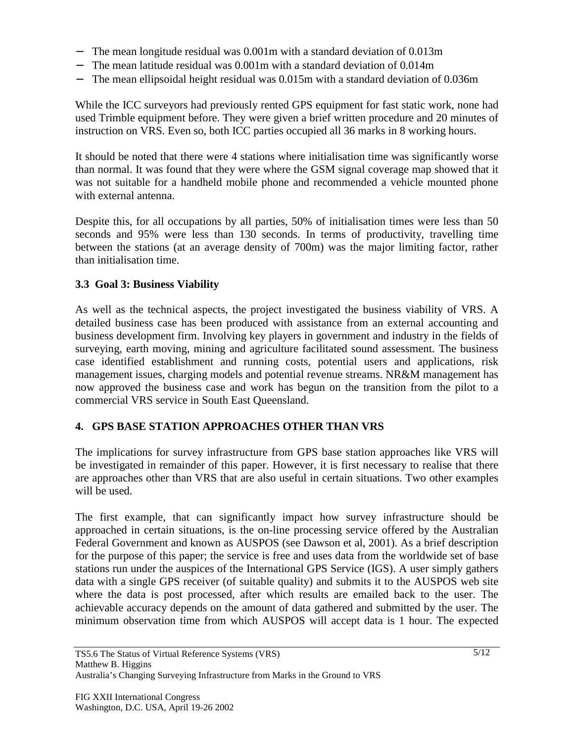- − The mean longitude residual was 0.001m with a standard deviation of 0.013m
- The mean latitude residual was  $0.001$ m with a standard deviation of  $0.014$ m
- The mean ellipsoidal height residual was 0.015m with a standard deviation of 0.036m

While the ICC surveyors had previously rented GPS equipment for fast static work, none had used Trimble equipment before. They were given a brief written procedure and 20 minutes of instruction on VRS. Even so, both ICC parties occupied all 36 marks in 8 working hours.

It should be noted that there were 4 stations where initialisation time was significantly worse than normal. It was found that they were where the GSM signal coverage map showed that it was not suitable for a handheld mobile phone and recommended a vehicle mounted phone with external antenna.

Despite this, for all occupations by all parties, 50% of initialisation times were less than 50 seconds and 95% were less than 130 seconds. In terms of productivity, travelling time between the stations (at an average density of 700m) was the major limiting factor, rather than initialisation time.

### **3.3 Goal 3: Business Viability**

As well as the technical aspects, the project investigated the business viability of VRS. A detailed business case has been produced with assistance from an external accounting and business development firm. Involving key players in government and industry in the fields of surveying, earth moving, mining and agriculture facilitated sound assessment. The business case identified establishment and running costs, potential users and applications, risk management issues, charging models and potential revenue streams. NR&M management has now approved the business case and work has begun on the transition from the pilot to a commercial VRS service in South East Queensland.

### **4. GPS BASE STATION APPROACHES OTHER THAN VRS**

The implications for survey infrastructure from GPS base station approaches like VRS will be investigated in remainder of this paper. However, it is first necessary to realise that there are approaches other than VRS that are also useful in certain situations. Two other examples will be used.

The first example, that can significantly impact how survey infrastructure should be approached in certain situations, is the on-line processing service offered by the Australian Federal Government and known as AUSPOS (see Dawson et al, 2001). As a brief description for the purpose of this paper; the service is free and uses data from the worldwide set of base stations run under the auspices of the International GPS Service (IGS). A user simply gathers data with a single GPS receiver (of suitable quality) and submits it to the AUSPOS web site where the data is post processed, after which results are emailed back to the user. The achievable accuracy depends on the amount of data gathered and submitted by the user. The minimum observation time from which AUSPOS will accept data is 1 hour. The expected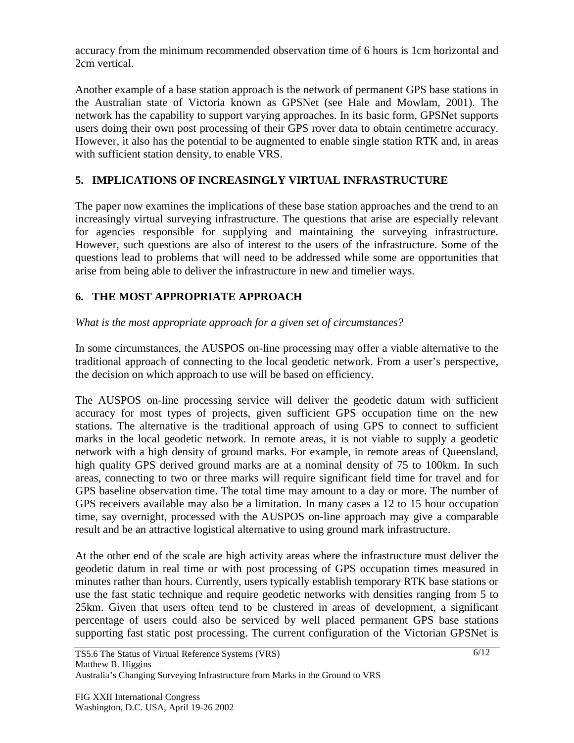accuracy from the minimum recommended observation time of 6 hours is 1cm horizontal and 2cm vertical.

Another example of a base station approach is the network of permanent GPS base stations in the Australian state of Victoria known as GPSNet (see Hale and Mowlam, 2001). The network has the capability to support varying approaches. In its basic form, GPSNet supports users doing their own post processing of their GPS rover data to obtain centimetre accuracy. However, it also has the potential to be augmented to enable single station RTK and, in areas with sufficient station density, to enable VRS.

# **5. IMPLICATIONS OF INCREASINGLY VIRTUAL INFRASTRUCTURE**

The paper now examines the implications of these base station approaches and the trend to an increasingly virtual surveying infrastructure. The questions that arise are especially relevant for agencies responsible for supplying and maintaining the surveying infrastructure. However, such questions are also of interest to the users of the infrastructure. Some of the questions lead to problems that will need to be addressed while some are opportunities that arise from being able to deliver the infrastructure in new and timelier ways.

## **6. THE MOST APPROPRIATE APPROACH**

### *What is the most appropriate approach for a given set of circumstances?*

In some circumstances, the AUSPOS on-line processing may offer a viable alternative to the traditional approach of connecting to the local geodetic network. From a user's perspective, the decision on which approach to use will be based on efficiency.

The AUSPOS on-line processing service will deliver the geodetic datum with sufficient accuracy for most types of projects, given sufficient GPS occupation time on the new stations. The alternative is the traditional approach of using GPS to connect to sufficient marks in the local geodetic network. In remote areas, it is not viable to supply a geodetic network with a high density of ground marks. For example, in remote areas of Queensland, high quality GPS derived ground marks are at a nominal density of 75 to 100km. In such areas, connecting to two or three marks will require significant field time for travel and for GPS baseline observation time. The total time may amount to a day or more. The number of GPS receivers available may also be a limitation. In many cases a 12 to 15 hour occupation time, say overnight, processed with the AUSPOS on-line approach may give a comparable result and be an attractive logistical alternative to using ground mark infrastructure.

At the other end of the scale are high activity areas where the infrastructure must deliver the geodetic datum in real time or with post processing of GPS occupation times measured in minutes rather than hours. Currently, users typically establish temporary RTK base stations or use the fast static technique and require geodetic networks with densities ranging from 5 to 25km. Given that users often tend to be clustered in areas of development, a significant percentage of users could also be serviced by well placed permanent GPS base stations supporting fast static post processing. The current configuration of the Victorian GPSNet is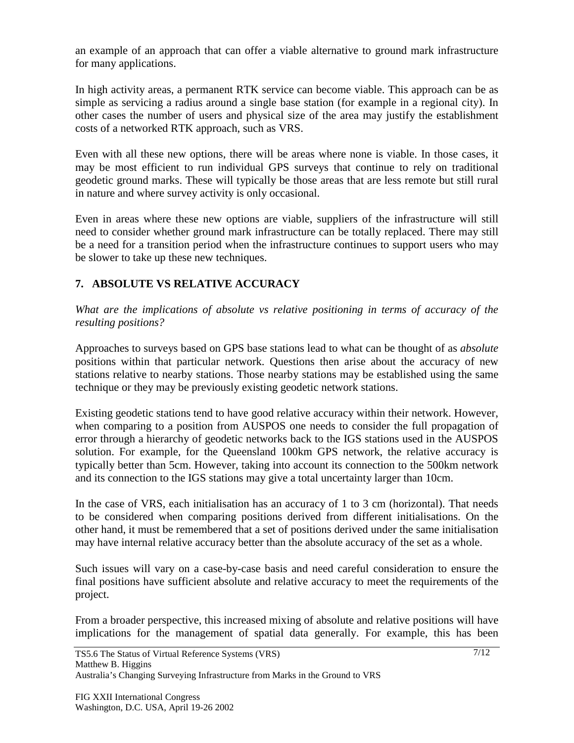an example of an approach that can offer a viable alternative to ground mark infrastructure for many applications.

In high activity areas, a permanent RTK service can become viable. This approach can be as simple as servicing a radius around a single base station (for example in a regional city). In other cases the number of users and physical size of the area may justify the establishment costs of a networked RTK approach, such as VRS.

Even with all these new options, there will be areas where none is viable. In those cases, it may be most efficient to run individual GPS surveys that continue to rely on traditional geodetic ground marks. These will typically be those areas that are less remote but still rural in nature and where survey activity is only occasional.

Even in areas where these new options are viable, suppliers of the infrastructure will still need to consider whether ground mark infrastructure can be totally replaced. There may still be a need for a transition period when the infrastructure continues to support users who may be slower to take up these new techniques.

# **7. ABSOLUTE VS RELATIVE ACCURACY**

*What are the implications of absolute vs relative positioning in terms of accuracy of the resulting positions?*

Approaches to surveys based on GPS base stations lead to what can be thought of as *absolute* positions within that particular network. Questions then arise about the accuracy of new stations relative to nearby stations. Those nearby stations may be established using the same technique or they may be previously existing geodetic network stations.

Existing geodetic stations tend to have good relative accuracy within their network. However, when comparing to a position from AUSPOS one needs to consider the full propagation of error through a hierarchy of geodetic networks back to the IGS stations used in the AUSPOS solution. For example, for the Queensland 100km GPS network, the relative accuracy is typically better than 5cm. However, taking into account its connection to the 500km network and its connection to the IGS stations may give a total uncertainty larger than 10cm.

In the case of VRS, each initialisation has an accuracy of 1 to 3 cm (horizontal). That needs to be considered when comparing positions derived from different initialisations. On the other hand, it must be remembered that a set of positions derived under the same initialisation may have internal relative accuracy better than the absolute accuracy of the set as a whole.

Such issues will vary on a case-by-case basis and need careful consideration to ensure the final positions have sufficient absolute and relative accuracy to meet the requirements of the project.

From a broader perspective, this increased mixing of absolute and relative positions will have implications for the management of spatial data generally. For example, this has been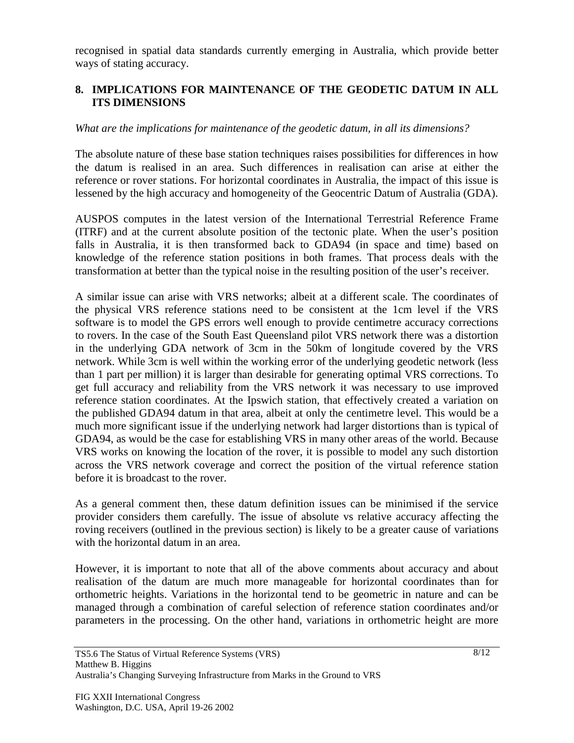recognised in spatial data standards currently emerging in Australia, which provide better ways of stating accuracy.

### **8. IMPLICATIONS FOR MAINTENANCE OF THE GEODETIC DATUM IN ALL ITS DIMENSIONS**

### *What are the implications for maintenance of the geodetic datum, in all its dimensions?*

The absolute nature of these base station techniques raises possibilities for differences in how the datum is realised in an area. Such differences in realisation can arise at either the reference or rover stations. For horizontal coordinates in Australia, the impact of this issue is lessened by the high accuracy and homogeneity of the Geocentric Datum of Australia (GDA).

AUSPOS computes in the latest version of the International Terrestrial Reference Frame (ITRF) and at the current absolute position of the tectonic plate. When the user's position falls in Australia, it is then transformed back to GDA94 (in space and time) based on knowledge of the reference station positions in both frames. That process deals with the transformation at better than the typical noise in the resulting position of the user's receiver.

A similar issue can arise with VRS networks; albeit at a different scale. The coordinates of the physical VRS reference stations need to be consistent at the 1cm level if the VRS software is to model the GPS errors well enough to provide centimetre accuracy corrections to rovers. In the case of the South East Queensland pilot VRS network there was a distortion in the underlying GDA network of 3cm in the 50km of longitude covered by the VRS network. While 3cm is well within the working error of the underlying geodetic network (less than 1 part per million) it is larger than desirable for generating optimal VRS corrections. To get full accuracy and reliability from the VRS network it was necessary to use improved reference station coordinates. At the Ipswich station, that effectively created a variation on the published GDA94 datum in that area, albeit at only the centimetre level. This would be a much more significant issue if the underlying network had larger distortions than is typical of GDA94, as would be the case for establishing VRS in many other areas of the world. Because VRS works on knowing the location of the rover, it is possible to model any such distortion across the VRS network coverage and correct the position of the virtual reference station before it is broadcast to the rover.

As a general comment then, these datum definition issues can be minimised if the service provider considers them carefully. The issue of absolute vs relative accuracy affecting the roving receivers (outlined in the previous section) is likely to be a greater cause of variations with the horizontal datum in an area.

However, it is important to note that all of the above comments about accuracy and about realisation of the datum are much more manageable for horizontal coordinates than for orthometric heights. Variations in the horizontal tend to be geometric in nature and can be managed through a combination of careful selection of reference station coordinates and/or parameters in the processing. On the other hand, variations in orthometric height are more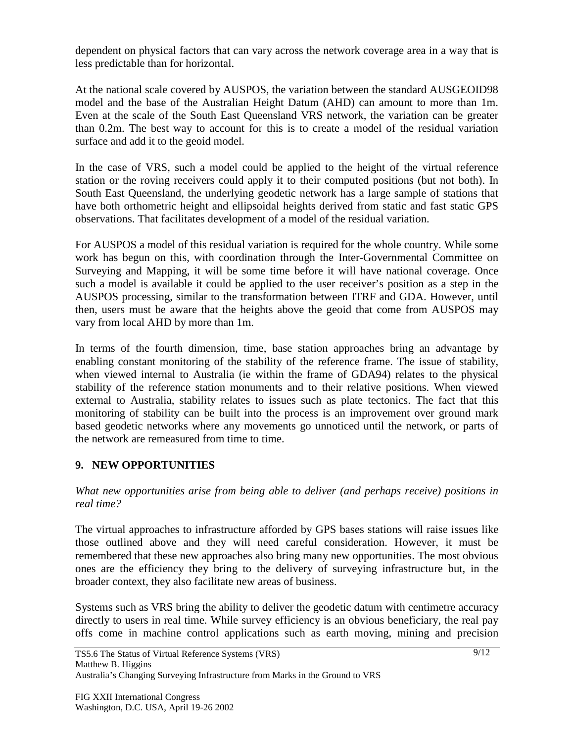dependent on physical factors that can vary across the network coverage area in a way that is less predictable than for horizontal.

At the national scale covered by AUSPOS, the variation between the standard AUSGEOID98 model and the base of the Australian Height Datum (AHD) can amount to more than 1m. Even at the scale of the South East Queensland VRS network, the variation can be greater than 0.2m. The best way to account for this is to create a model of the residual variation surface and add it to the geoid model.

In the case of VRS, such a model could be applied to the height of the virtual reference station or the roving receivers could apply it to their computed positions (but not both). In South East Queensland, the underlying geodetic network has a large sample of stations that have both orthometric height and ellipsoidal heights derived from static and fast static GPS observations. That facilitates development of a model of the residual variation.

For AUSPOS a model of this residual variation is required for the whole country. While some work has begun on this, with coordination through the Inter-Governmental Committee on Surveying and Mapping, it will be some time before it will have national coverage. Once such a model is available it could be applied to the user receiver's position as a step in the AUSPOS processing, similar to the transformation between ITRF and GDA. However, until then, users must be aware that the heights above the geoid that come from AUSPOS may vary from local AHD by more than 1m.

In terms of the fourth dimension, time, base station approaches bring an advantage by enabling constant monitoring of the stability of the reference frame. The issue of stability, when viewed internal to Australia (ie within the frame of GDA94) relates to the physical stability of the reference station monuments and to their relative positions. When viewed external to Australia, stability relates to issues such as plate tectonics. The fact that this monitoring of stability can be built into the process is an improvement over ground mark based geodetic networks where any movements go unnoticed until the network, or parts of the network are remeasured from time to time.

## **9. NEW OPPORTUNITIES**

*What new opportunities arise from being able to deliver (and perhaps receive) positions in real time?*

The virtual approaches to infrastructure afforded by GPS bases stations will raise issues like those outlined above and they will need careful consideration. However, it must be remembered that these new approaches also bring many new opportunities. The most obvious ones are the efficiency they bring to the delivery of surveying infrastructure but, in the broader context, they also facilitate new areas of business.

Systems such as VRS bring the ability to deliver the geodetic datum with centimetre accuracy directly to users in real time. While survey efficiency is an obvious beneficiary, the real pay offs come in machine control applications such as earth moving, mining and precision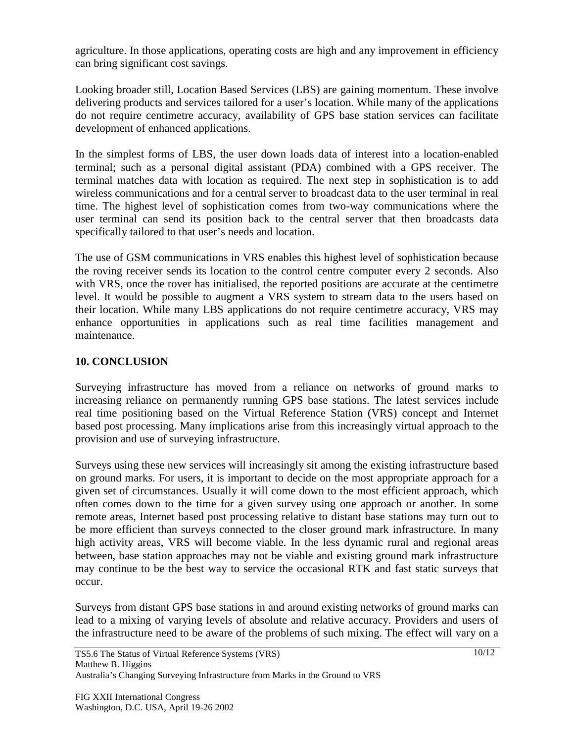agriculture. In those applications, operating costs are high and any improvement in efficiency can bring significant cost savings.

Looking broader still, Location Based Services (LBS) are gaining momentum. These involve delivering products and services tailored for a user's location. While many of the applications do not require centimetre accuracy, availability of GPS base station services can facilitate development of enhanced applications.

In the simplest forms of LBS, the user down loads data of interest into a location-enabled terminal; such as a personal digital assistant (PDA) combined with a GPS receiver. The terminal matches data with location as required. The next step in sophistication is to add wireless communications and for a central server to broadcast data to the user terminal in real time. The highest level of sophistication comes from two-way communications where the user terminal can send its position back to the central server that then broadcasts data specifically tailored to that user's needs and location.

The use of GSM communications in VRS enables this highest level of sophistication because the roving receiver sends its location to the control centre computer every 2 seconds. Also with VRS, once the rover has initialised, the reported positions are accurate at the centimetre level. It would be possible to augment a VRS system to stream data to the users based on their location. While many LBS applications do not require centimetre accuracy, VRS may enhance opportunities in applications such as real time facilities management and maintenance.

## **10. CONCLUSION**

Surveying infrastructure has moved from a reliance on networks of ground marks to increasing reliance on permanently running GPS base stations. The latest services include real time positioning based on the Virtual Reference Station (VRS) concept and Internet based post processing. Many implications arise from this increasingly virtual approach to the provision and use of surveying infrastructure.

Surveys using these new services will increasingly sit among the existing infrastructure based on ground marks. For users, it is important to decide on the most appropriate approach for a given set of circumstances. Usually it will come down to the most efficient approach, which often comes down to the time for a given survey using one approach or another. In some remote areas, Internet based post processing relative to distant base stations may turn out to be more efficient than surveys connected to the closer ground mark infrastructure. In many high activity areas, VRS will become viable. In the less dynamic rural and regional areas between, base station approaches may not be viable and existing ground mark infrastructure may continue to be the best way to service the occasional RTK and fast static surveys that occur.

Surveys from distant GPS base stations in and around existing networks of ground marks can lead to a mixing of varying levels of absolute and relative accuracy. Providers and users of the infrastructure need to be aware of the problems of such mixing. The effect will vary on a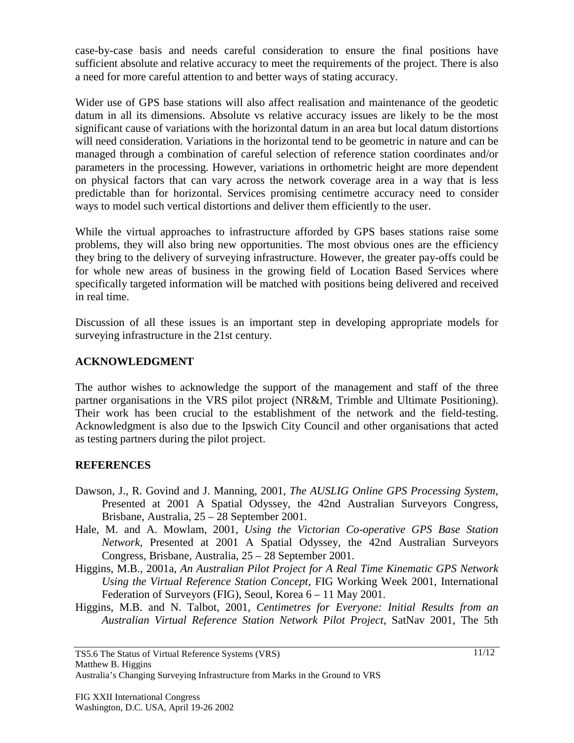case-by-case basis and needs careful consideration to ensure the final positions have sufficient absolute and relative accuracy to meet the requirements of the project. There is also a need for more careful attention to and better ways of stating accuracy.

Wider use of GPS base stations will also affect realisation and maintenance of the geodetic datum in all its dimensions. Absolute vs relative accuracy issues are likely to be the most significant cause of variations with the horizontal datum in an area but local datum distortions will need consideration. Variations in the horizontal tend to be geometric in nature and can be managed through a combination of careful selection of reference station coordinates and/or parameters in the processing. However, variations in orthometric height are more dependent on physical factors that can vary across the network coverage area in a way that is less predictable than for horizontal. Services promising centimetre accuracy need to consider ways to model such vertical distortions and deliver them efficiently to the user.

While the virtual approaches to infrastructure afforded by GPS bases stations raise some problems, they will also bring new opportunities. The most obvious ones are the efficiency they bring to the delivery of surveying infrastructure. However, the greater pay-offs could be for whole new areas of business in the growing field of Location Based Services where specifically targeted information will be matched with positions being delivered and received in real time.

Discussion of all these issues is an important step in developing appropriate models for surveying infrastructure in the 21st century.

### **ACKNOWLEDGMENT**

The author wishes to acknowledge the support of the management and staff of the three partner organisations in the VRS pilot project (NR&M, Trimble and Ultimate Positioning). Their work has been crucial to the establishment of the network and the field-testing. Acknowledgment is also due to the Ipswich City Council and other organisations that acted as testing partners during the pilot project.

### **REFERENCES**

- Dawson, J., R. Govind and J. Manning, 2001, *The AUSLIG Online GPS Processing System*, Presented at 2001 A Spatial Odyssey, the 42nd Australian Surveyors Congress, Brisbane, Australia, 25 – 28 September 2001.
- Hale, M. and A. Mowlam, 2001, *Using the Victorian Co-operative GPS Base Station Network*, Presented at 2001 A Spatial Odyssey, the 42nd Australian Surveyors Congress, Brisbane, Australia, 25 – 28 September 2001.
- Higgins, M.B., 2001a, *An Australian Pilot Project for A Real Time Kinematic GPS Network Using the Virtual Reference Station Concept*, FIG Working Week 2001, International Federation of Surveyors (FIG), Seoul, Korea 6 – 11 May 2001.
- Higgins, M.B. and N. Talbot, 2001, *Centimetres for Everyone: Initial Results from an Australian Virtual Reference Station Network Pilot Project*, SatNav 2001, The 5th